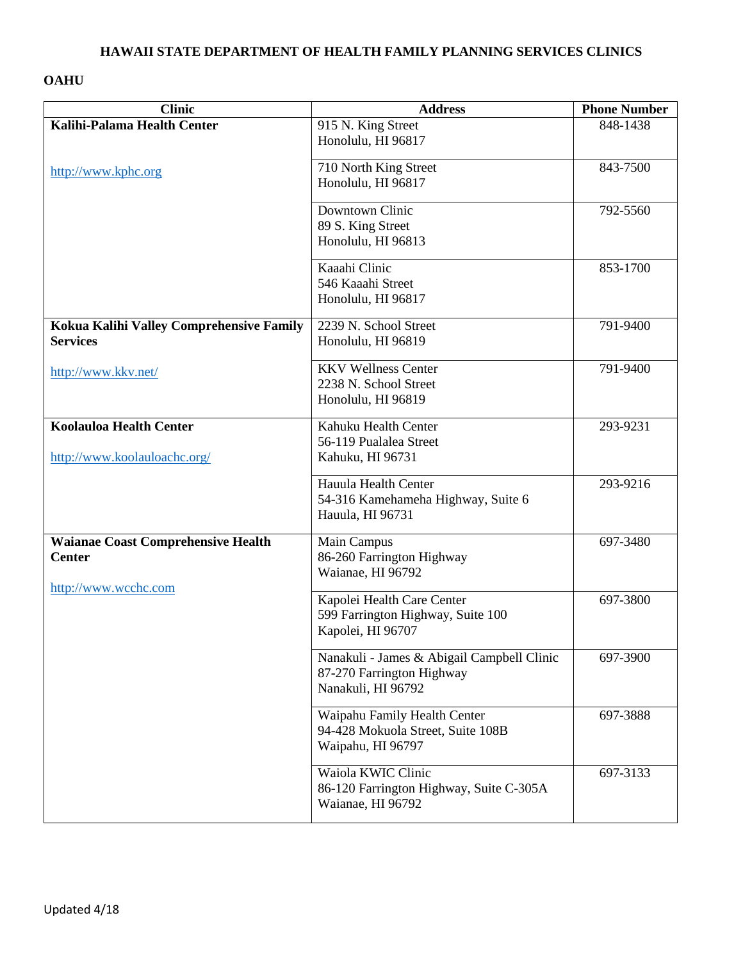#### **HAWAII STATE DEPARTMENT OF HEALTH FAMILY PLANNING SERVICES CLINICS**

### **OAHU**

| <b>Clinic</b>                             | <b>Address</b>                                                    | <b>Phone Number</b> |
|-------------------------------------------|-------------------------------------------------------------------|---------------------|
| Kalihi-Palama Health Center               | 915 N. King Street                                                | 848-1438            |
|                                           | Honolulu, HI 96817                                                |                     |
|                                           | 710 North King Street                                             | 843-7500            |
| http://www.kphc.org                       | Honolulu, HI 96817                                                |                     |
|                                           |                                                                   |                     |
|                                           | Downtown Clinic                                                   | 792-5560            |
|                                           | 89 S. King Street                                                 |                     |
|                                           | Honolulu, HI 96813                                                |                     |
|                                           | Kaaahi Clinic                                                     | 853-1700            |
|                                           | 546 Kaaahi Street                                                 |                     |
|                                           | Honolulu, HI 96817                                                |                     |
|                                           |                                                                   |                     |
| Kokua Kalihi Valley Comprehensive Family  | 2239 N. School Street                                             | 791-9400            |
| <b>Services</b>                           | Honolulu, HI 96819                                                |                     |
| http://www.kkv.net/                       | <b>KKV Wellness Center</b>                                        | 791-9400            |
|                                           | 2238 N. School Street                                             |                     |
|                                           | Honolulu, HI 96819                                                |                     |
|                                           |                                                                   |                     |
| <b>Koolauloa Health Center</b>            | Kahuku Health Center                                              | 293-9231            |
|                                           | 56-119 Pualalea Street<br>Kahuku, HI 96731                        |                     |
| http://www.koolauloachc.org/              |                                                                   |                     |
|                                           | Hauula Health Center                                              | 293-9216            |
|                                           | 54-316 Kamehameha Highway, Suite 6                                |                     |
|                                           | Hauula, HI 96731                                                  |                     |
| <b>Waianae Coast Comprehensive Health</b> | Main Campus                                                       | 697-3480            |
| <b>Center</b>                             | 86-260 Farrington Highway                                         |                     |
|                                           | Waianae, HI 96792                                                 |                     |
| http://www.wcchc.com                      |                                                                   |                     |
|                                           | Kapolei Health Care Center                                        | 697-3800            |
|                                           | 599 Farrington Highway, Suite 100                                 |                     |
|                                           | Kapolei, HI 96707                                                 |                     |
|                                           | Nanakuli - James & Abigail Campbell Clinic                        | 697-3900            |
|                                           | 87-270 Farrington Highway                                         |                     |
|                                           | Nanakuli, HI 96792                                                |                     |
|                                           |                                                                   | 697-3888            |
|                                           | Waipahu Family Health Center<br>94-428 Mokuola Street, Suite 108B |                     |
|                                           | Waipahu, HI 96797                                                 |                     |
|                                           |                                                                   |                     |
|                                           | Waiola KWIC Clinic                                                | 697-3133            |
|                                           | 86-120 Farrington Highway, Suite C-305A                           |                     |
|                                           | Waianae, HI 96792                                                 |                     |
|                                           |                                                                   |                     |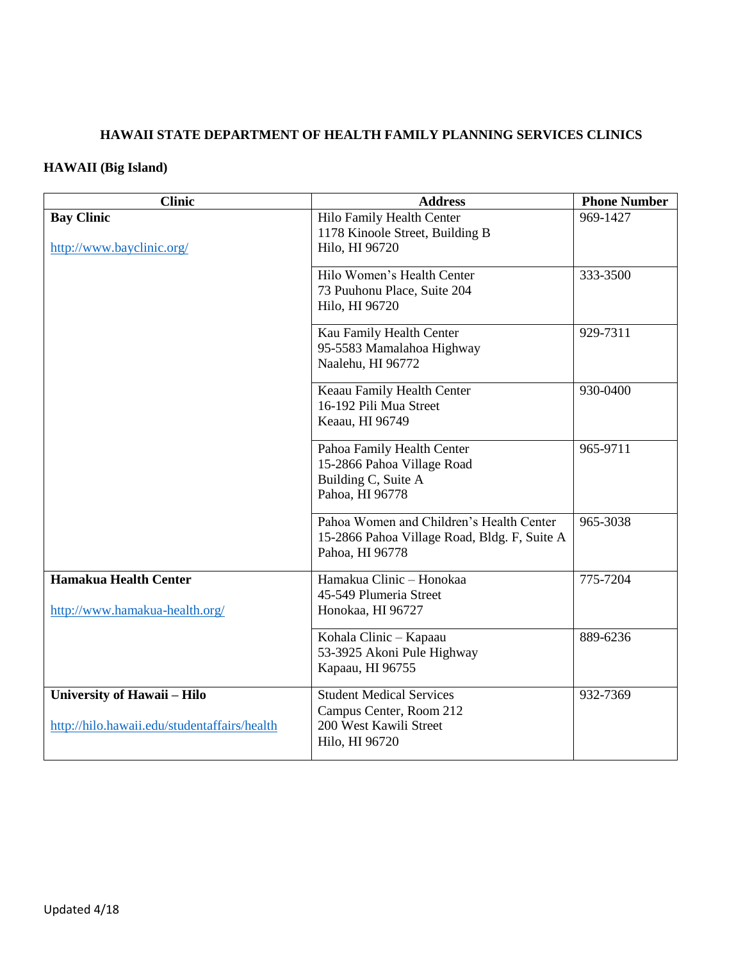## **HAWAII STATE DEPARTMENT OF HEALTH FAMILY PLANNING SERVICES CLINICS**

# **HAWAII (Big Island)**

| <b>Clinic</b>                                                                      | <b>Address</b>                                                                                              | <b>Phone Number</b> |
|------------------------------------------------------------------------------------|-------------------------------------------------------------------------------------------------------------|---------------------|
| <b>Bay Clinic</b><br>http://www.bayclinic.org/                                     | Hilo Family Health Center<br>1178 Kinoole Street, Building B<br>Hilo, HI 96720                              | 969-1427            |
|                                                                                    | Hilo Women's Health Center<br>73 Puuhonu Place, Suite 204<br>Hilo, HI 96720                                 | 333-3500            |
|                                                                                    | Kau Family Health Center<br>95-5583 Mamalahoa Highway<br>Naalehu, HI 96772                                  | 929-7311            |
|                                                                                    | Keaau Family Health Center<br>16-192 Pili Mua Street<br>Keaau, HI 96749                                     | 930-0400            |
|                                                                                    | Pahoa Family Health Center<br>15-2866 Pahoa Village Road<br>Building C, Suite A<br>Pahoa, HI 96778          | 965-9711            |
|                                                                                    | Pahoa Women and Children's Health Center<br>15-2866 Pahoa Village Road, Bldg. F, Suite A<br>Pahoa, HI 96778 | 965-3038            |
| Hamakua Health Center<br>http://www.hamakua-health.org/                            | Hamakua Clinic - Honokaa<br>45-549 Plumeria Street<br>Honokaa, HI 96727                                     | 775-7204            |
|                                                                                    | Kohala Clinic - Kapaau<br>53-3925 Akoni Pule Highway<br>Kapaau, HI 96755                                    | 889-6236            |
| <b>University of Hawaii - Hilo</b><br>http://hilo.hawaii.edu/studentaffairs/health | <b>Student Medical Services</b><br>Campus Center, Room 212<br>200 West Kawili Street<br>Hilo, HI 96720      | 932-7369            |